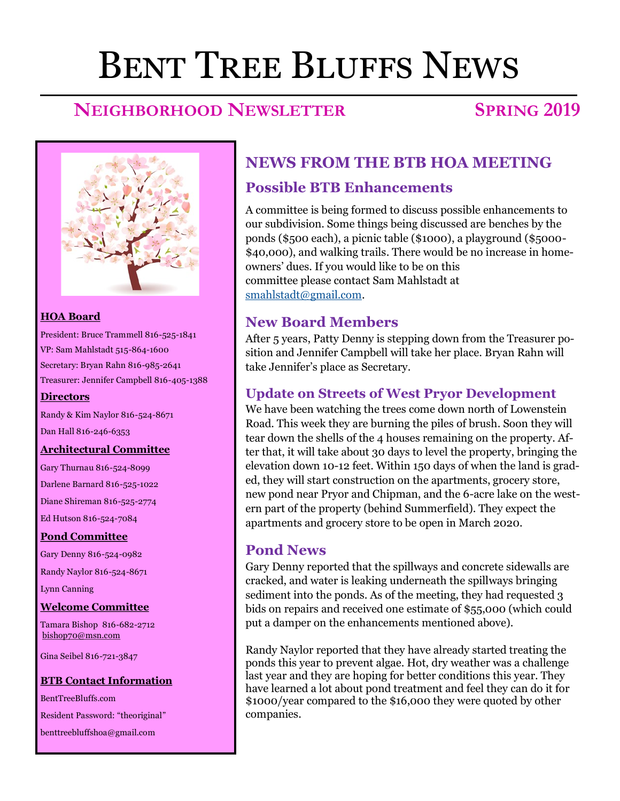# Bent Tree Bluffs News

# **NEIGHBORHOOD NEWSLETTER SPRING 2019**



#### **HOA Board**

President: Bruce Trammell 816-525-1841 VP: Sam Mahlstadt 515-864-1600 Secretary: Bryan Rahn 816-985-2641 Treasurer: Jennifer Campbell 816-405-1388

#### **Directors**

Randy & Kim Naylor 816-524-8671 Dan Hall 816-246-6353

#### **Architectural Committee**

Gary Thurnau 816-524-8099 Darlene Barnard 816-525-1022 Diane Shireman 816-525-2774 Ed Hutson 816-524-7084

#### **Pond Committee**

Gary Denny 816-524-0982 Randy Naylor 816-524-8671 Lynn Canning

#### **Welcome Committee**

Tamara Bishop 816-682-2712 [bishop70@msn.com](mailto:bishop70@msn.com)

Gina Seibel 816-721-3847

#### **BTB Contact Information**

BentTreeBluffs.com Resident Password: "theoriginal" benttreebluffshoa@gmail.com

# **NEWS FROM THE BTB HOA MEETING**

#### **Possible BTB Enhancements**

A committee is being formed to discuss possible enhancements to our subdivision. Some things being discussed are benches by the ponds (\$500 each), a picnic table (\$1000), a playground (\$5000- \$40,000), and walking trails. There would be no increase in homeowners' dues. If you would like to be on this committee please contact Sam Mahlstadt at [smahlstadt@gmail.com.](mailto:smahlstadt@gmail.com)

#### **New Board Members**

After 5 years, Patty Denny is stepping down from the Treasurer position and Jennifer Campbell will take her place. Bryan Rahn will take Jennifer's place as Secretary.

#### **Update on Streets of West Pryor Development**

We have been watching the trees come down north of Lowenstein Road. This week they are burning the piles of brush. Soon they will tear down the shells of the 4 houses remaining on the property. After that, it will take about 30 days to level the property, bringing the elevation down 10-12 feet. Within 150 days of when the land is graded, they will start construction on the apartments, grocery store, new pond near Pryor and Chipman, and the 6-acre lake on the western part of the property (behind Summerfield). They expect the apartments and grocery store to be open in March 2020.

#### **Pond News**

Gary Denny reported that the spillways and concrete sidewalls are cracked, and water is leaking underneath the spillways bringing sediment into the ponds. As of the meeting, they had requested 3 bids on repairs and received one estimate of \$55,000 (which could put a damper on the enhancements mentioned above).

Randy Naylor reported that they have already started treating the ponds this year to prevent algae. Hot, dry weather was a challenge last year and they are hoping for better conditions this year. They have learned a lot about pond treatment and feel they can do it for \$1000/year compared to the \$16,000 they were quoted by other companies.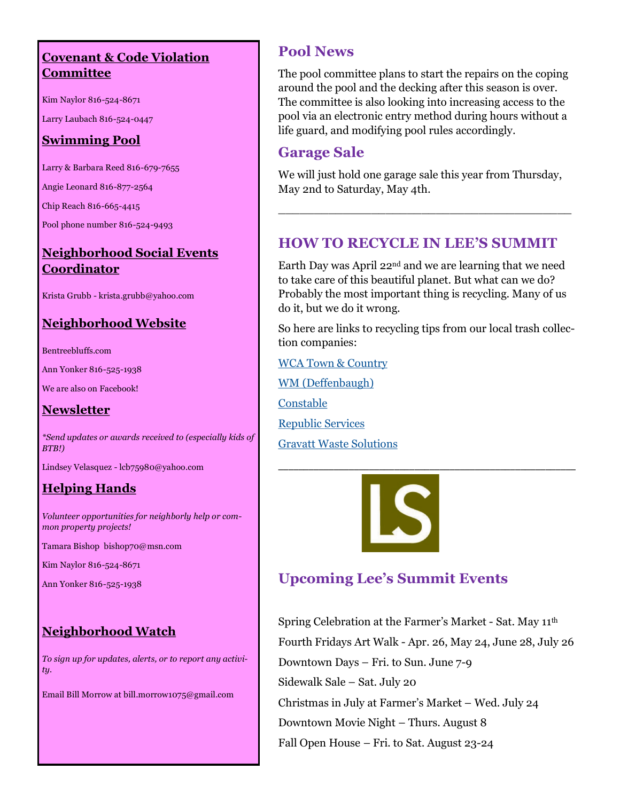#### **Covenant & Code Violation Committee**

Kim Naylor 816-524-8671

Larry Laubach 816-524-0447

#### **Swimming Pool**

Larry & Barbara Reed 816-679-7655

Angie Leonard 816-877-2564

Chip Reach 816-665-4415

Pool phone number 816-524-9493

#### **Neighborhood Social Events Coordinator**

Krista Grubb - krista.grubb@yahoo.com

#### **Neighborhood Website**

Bentreebluffs.com

Ann Yonker 816-525-1938

We are also on Facebook!

#### **Newsletter**

*\*Send updates or awards received to (especially kids of BTB!)* 

Lindsey Velasquez - lcb75980@yahoo.com

### **Helping Hands**

*Volunteer opportunities for neighborly help or common property projects!*

Tamara Bishop bishop70@msn.com

Kim Naylor 816-524-8671

Ann Yonker 816-525-1938

### **Neighborhood Watch**

*To sign up for updates, alerts, or to report any activity.*

Email Bill Morrow at bill.morrow1075@gmail.com

### **Pool News**

The pool committee plans to start the repairs on the coping around the pool and the decking after this season is over. The committee is also looking into increasing access to the pool via an electronic entry method during hours without a life guard, and modifying pool rules accordingly.

#### **Garage Sale**

We will just hold one garage sale this year from Thursday, May 2nd to Saturday, May 4th.

\_\_\_\_\_\_\_\_\_\_\_\_\_\_\_\_\_\_\_\_\_\_\_\_\_\_\_\_\_\_\_\_\_\_\_\_\_\_\_\_\_

## **HOW TO RECYCLE IN LEE'S SUMMIT**

Earth Day was April 22nd and we are learning that we need to take care of this beautiful planet. But what can we do? Probably the most important thing is recycling. Many of us do it, but we do it wrong.

So here are links to recycling tips from our local trash collection companies:

\_\_\_\_\_\_\_\_\_\_\_\_\_\_\_\_\_\_\_\_\_\_\_\_\_\_\_\_\_\_\_\_\_\_\_\_\_\_\_\_\_\_\_\_\_\_\_\_\_\_\_\_\_\_\_\_\_\_\_

[WCA Town & Country](https://wcawaste.com/residential/residential-services/Recycling)

[WM \(Deffenbaugh\)](http://www.wm.com/documents/pdfs/recycle-often-recycle-right.pdf)

[Constable](http://www.constablesanitation.com/request-service/recyclable-material/)

[Republic Services](https://www.republicservices.com/cms/documents/RecyclingGuide1pager.pdf)

[Gravatt Waste Solutions](https://gravattwastesolutions.com/recycling)



# **Upcoming Lee's Summit Events**

Spring Celebration at the Farmer's Market - Sat. May 11th Fourth Fridays Art Walk - Apr. 26, May 24, June 28, July 26 Downtown Days – Fri. to Sun. June 7-9 Sidewalk Sale – Sat. July 20 Christmas in July at Farmer's Market – Wed. July 24 Downtown Movie Night – Thurs. August 8 Fall Open House – Fri. to Sat. August 23-24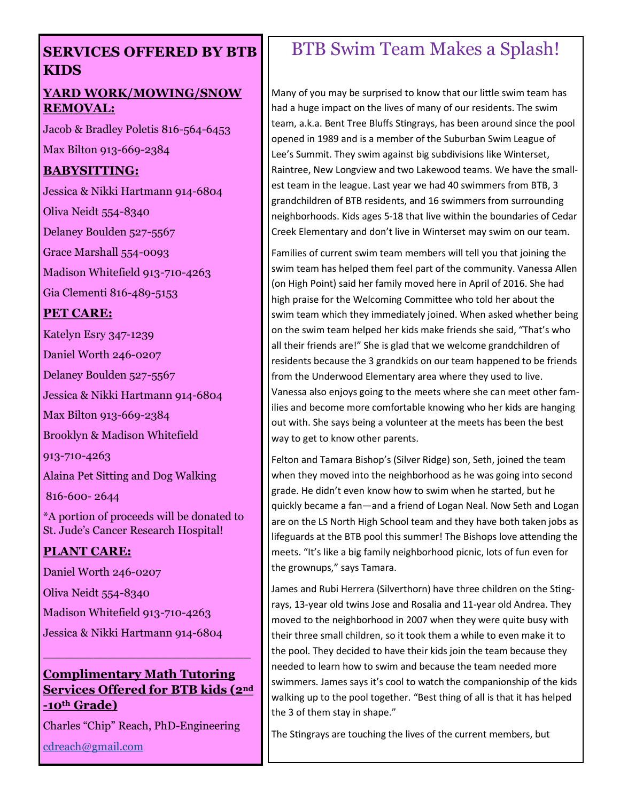#### **SERVICES OFFERED BY BTB KIDS**

#### **YARD WORK/MOWING/SNOW REMOVAL:**

Jacob & Bradley Poletis 816-564-6453 Max Bilton 913-669-2384

#### **BABYSITTING:**

Jessica & Nikki Hartmann 914-6804

Oliva Neidt 554-8340

Delaney Boulden 527-5567

Grace Marshall 554-0093

Madison Whitefield 913-710-4263

Gia Clementi 816-489-5153

#### **PET CARE:**

Katelyn Esry 347-1239

Daniel Worth 246-0207

Delaney Boulden 527-5567

Jessica & Nikki Hartmann 914-6804

Max Bilton 913-669-2384

Brooklyn & Madison Whitefield

913-710-4263

Alaina Pet Sitting and Dog Walking

816-600- 2644

\*A portion of proceeds will be donated to St. Jude's Cancer Research Hospital!

#### **PLANT CARE:**

Daniel Worth 246-0207

Oliva Neidt 554-8340

Madison Whitefield 913-710-4263

Jessica & Nikki Hartmann 914-6804

#### **Complimentary Math Tutoring Services Offered for BTB kids (2nd -10th Grade)**

\_\_\_\_\_\_\_\_\_\_\_\_\_\_\_\_\_\_\_\_\_\_\_\_\_\_\_\_\_

Charles "Chip" Reach, PhD-Engineering

[cdreach@gmail.com](mailto:cdreach@gmail.com)

# BTB Swim Team Makes a Splash!

Many of you may be surprised to know that our little swim team has had a huge impact on the lives of many of our residents. The swim team, a.k.a. Bent Tree Bluffs Stingrays, has been around since the pool opened in 1989 and is a member of the Suburban Swim League of Lee's Summit. They swim against big subdivisions like Winterset, Raintree, New Longview and two Lakewood teams. We have the smallest team in the league. Last year we had 40 swimmers from BTB, 3 grandchildren of BTB residents, and 16 swimmers from surrounding neighborhoods. Kids ages 5-18 that live within the boundaries of Cedar Creek Elementary and don't live in Winterset may swim on our team.

Families of current swim team members will tell you that joining the swim team has helped them feel part of the community. Vanessa Allen (on High Point) said her family moved here in April of 2016. She had high praise for the Welcoming Committee who told her about the swim team which they immediately joined. When asked whether being on the swim team helped her kids make friends she said, "That's who all their friends are!" She is glad that we welcome grandchildren of residents because the 3 grandkids on our team happened to be friends from the Underwood Elementary area where they used to live. Vanessa also enjoys going to the meets where she can meet other families and become more comfortable knowing who her kids are hanging out with. She says being a volunteer at the meets has been the best way to get to know other parents.

Felton and Tamara Bishop's (Silver Ridge) son, Seth, joined the team when they moved into the neighborhood as he was going into second grade. He didn't even know how to swim when he started, but he quickly became a fan—and a friend of Logan Neal. Now Seth and Logan are on the LS North High School team and they have both taken jobs as lifeguards at the BTB pool this summer! The Bishops love attending the meets. "It's like a big family neighborhood picnic, lots of fun even for the grownups," says Tamara.

James and Rubi Herrera (Silverthorn) have three children on the Stingrays, 13-year old twins Jose and Rosalia and 11-year old Andrea. They moved to the neighborhood in 2007 when they were quite busy with their three small children, so it took them a while to even make it to the pool. They decided to have their kids join the team because they needed to learn how to swim and because the team needed more swimmers. James says it's cool to watch the companionship of the kids walking up to the pool together. "Best thing of all is that it has helped the 3 of them stay in shape."

The Stingrays are touching the lives of the current members, but